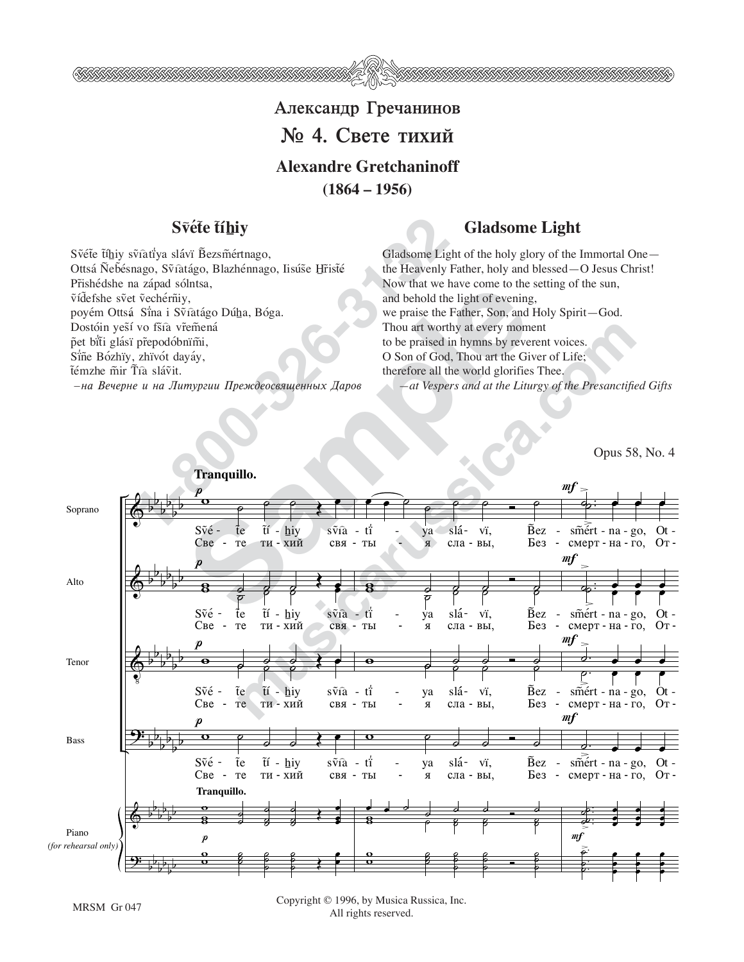

## Александр Гречанинов  $\mathbf{N}_2$  4. Свете тихий **Alexandre Gretchaninoff (1864 – 1956)**

**1-8** Svatiya slávi Bezsmértnago,<br>
viatiya slávi Bezsmértnago, Iisúše Hřisté the Heavenly the Academie Light and Solutsa,<br>
le Sma i Svatágo Dúha, Bóga.<br>
viatis viat ve praise de le Meavenly Now that we have the Meavenly No Svéte tíhiy svîatiya slávi Bezsmértnago, Ottsá Ñebésnago, Svîatágo, Blazhénnago, Iisúse Hristé Přishédshe na západ sólntsa, vídefshe svet vechérniy, poyém Ottsá Sina i Svîatágo Dúha, Bóga. Dostóin yesí vo fšía vřemená pet biti glásï přepodóbnïmi, Siñe Bózhïy, zhïvót dayáy, ťémzhe mir Tíà slávit.  $-$ на Вечерне и на Литургии Преждеосвященных Даров

## **fluit Svéte tíhiy** Gladsome Light

Gladsome Light of the holy glory of the Immortal One the Heavenly Father, holy and blessed—O Jesus Christ! Now that we have come to the setting of the sun, and behold the light of evening, we praise the Father, Son, and Holy Spirit—God. Thou art worthy at every moment to be praised in hymns by reverent voices. O Son of God, Thou art the Giver of Life; therefore all the world glorifies Thee. *—at Vespers and at the Liturgy of the Presanctified Gifts*

Opus 58, No. 4



Copyright © 1996, by Musica Russica, Inc. MRSM Gr 047 Copyright to 1770, by Musica P<br>All rights reserved.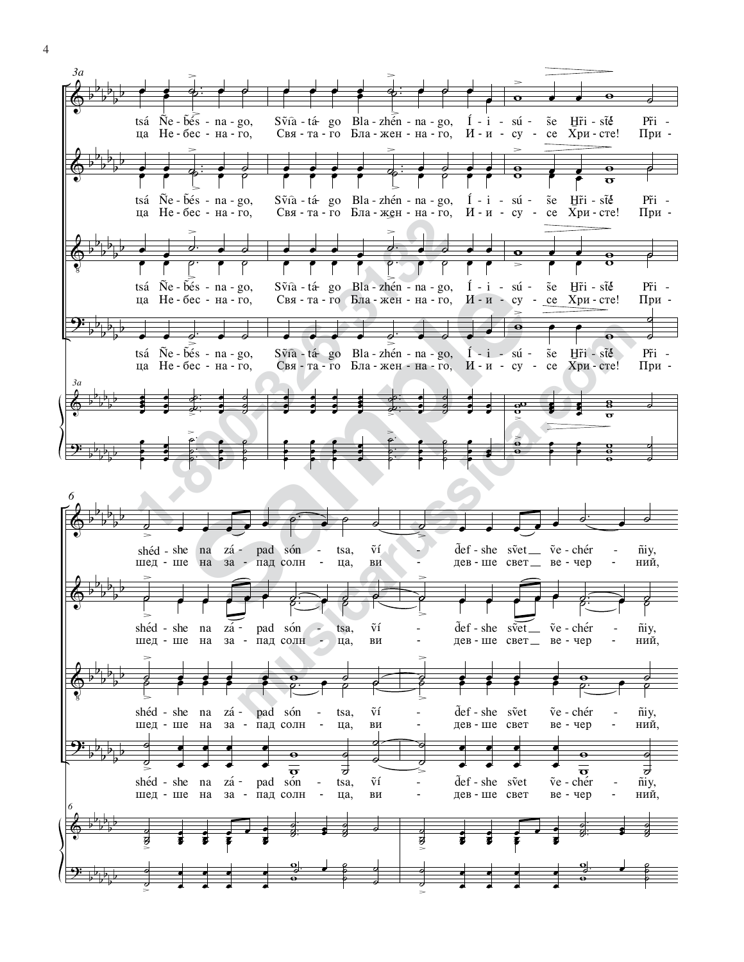

4